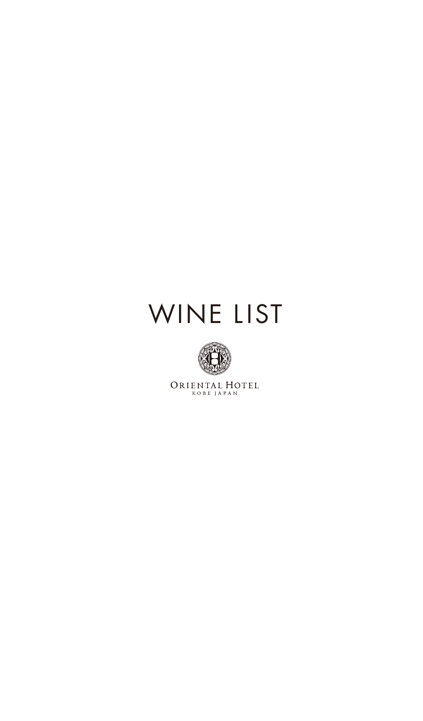# WINE LIST



 $\begin{array}{lllllllll} \multicolumn{3}{l}{{\bf{ORIFNTL L HOTEL}}} \end{array}$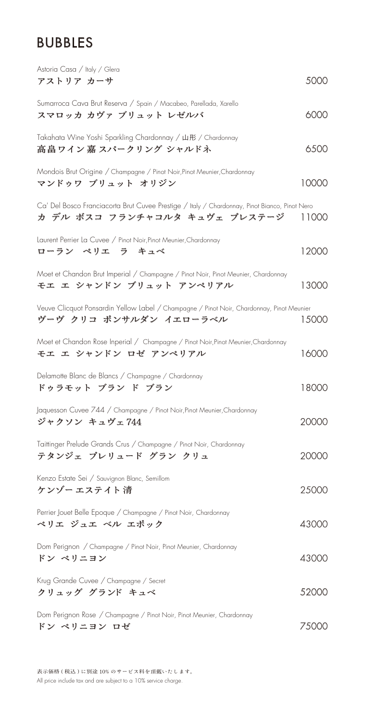#### BUBBLES

| Astoria Casa / Italy / Glera<br>アストリア カーサ                                                                                            | 5000  |
|--------------------------------------------------------------------------------------------------------------------------------------|-------|
| Sumarroca Cava Brut Reserva / Spain / Macabeo, Parellada, Xarello<br>スマロッカ カヴァ ブリュット レゼルバ                                            | 6000  |
| Takahata Wine Yoshi Sparkling Chardonnay / 山形 / Chardonnay<br>高畠 ワイン 嘉 スパークリング シャルドネ                                                 | 6500  |
| Mondois Brut Origine / Champagne / Pinot Noir, Pinot Meunier, Chardonnay<br>マンドゥワ ブリュット オリジン                                         | 10000 |
| Ca' Del Bosco Franciacorta Brut Cuvee Prestige / Italy / Chardonnay, Pinot Bianco, Pinot Nero<br>カ デル ボスコ フランチャコルタ キュヴェ プレステージ 11000 |       |
| Laurent Perrier La Cuvee / Pinot Noir, Pinot Meunier, Chardonnay<br>ローラン ペリエ ラ キュベ                                                   | 12000 |
| Moet et Chandon Brut Imperial / Champagne / Pinot Noir, Pinot Meunier, Chardonnay<br>モエ エ シャンドン ブリュット アンペリアル                         | 13000 |
| Veuve Clicquot Ponsardin Yellow Label / Champagne / Pinot Noir, Chardonnay, Pinot Meunier<br>ヴーヴ クリコ ポンサルダン イエローラベル                  | 15000 |
| Moet et Chandon Rose Inperial / Champagne / Pinot Noir, Pinot Meunier, Chardonnay<br>モエ エ シャンドン ロゼ アンペリアル                            | 16000 |
| Delamotte Blanc de Blancs / Champagne / Chardonnay<br>ドゥラモット ブラン ド ブラン                                                               | 18000 |
| Jaquesson Cuvee 744 / Champagne / Pinot Noir, Pinot Meunier, Chardonnay<br>ジャクソン キュヴェ744                                             | 20000 |
| Taittinger Prelude Grands Crus / Champagne / Pinot Noir, Chardonnay<br>テタンジェ プレリュード グラン クリュ                                          | 20000 |
| Kenzo Estate Sei / Sauvignon Blanc, Semillom<br><b>ケンゾー エステイト 清</b>                                                                  | 25000 |
| Perrier Jouet Belle Epoque / Champagne / Pinot Noir, Chardonnay<br>ペリエ ジュエ ベル エポック                                                   | 43000 |
| Dom Perignon / Champagne / Pinot Noir, Pinot Meunier, Chardonnay<br>ドン ペリニヨン                                                         | 43000 |
| Krug Grande Cuvee / Champagne / Secret<br>クリュッグ グランド キュベ                                                                             | 52000 |
| Dom Perignon Rose / Champagne / Pinot Noir, Pinot Meunier, Chardonnay<br>ドン ペリニヨン ロゼ                                                 | 75000 |

表示価格 ( 税込 ) に別途 10% のサービス料を頂戴いたします。 All price include tax and are subject to a 10% service charge.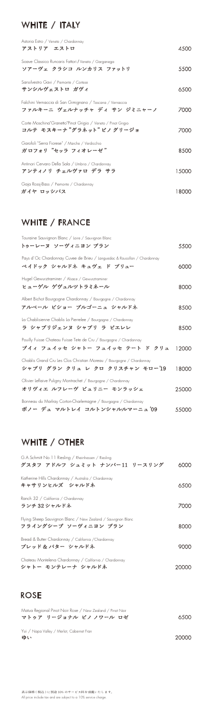# WHITE / ITALY

| Astoria Estro / Veneto / Chardonnay                                                        |       |
|--------------------------------------------------------------------------------------------|-------|
| アストリア エストロ                                                                                 | 4500  |
| Soave Classico Runcaris Fattori / Veneto / Garganega<br>ソアーヴェ クラシコ ルンカリス ファットリ             | 5500  |
| Sansilvestro Gavi / Piemonte / Cortese<br>サンシルヴェストロ ガヴィ                                    | 6500  |
| Falchini Vernaccia di San Gimignano / Toscana / Vernaccia<br>ファルキーニ ヴェルナッチャ ディ サン ジミニャーノ   | 7000  |
| Corte Moschina"Granetto"Pinot Grigio / Veneto / Pinot Grigio<br>コルテ モスキーナ "グラネット" ピノ グリージョ | 7000  |
| Garofoli "Serra Fiorese" / Marche / Verdicchio<br>ガロフォリ "セッラ フィオレーゼ"                       | 8500  |
| Antinori Cervaro Della Sala / Umbria / Chardonnay<br>アンティノリ チェルヴァロ デラ サラ                   | 15000 |
| Gaja Rossj-Bass / Piemonte / Chardonnay<br>ガイヤ ロッシバス                                       | 18000 |
|                                                                                            |       |

#### WHITE / FRANCE

ボノー デュ マルトレイ コルトンシャルルマーニュ '09

#### WHITE / OTHER

| Touraine Sauvignon Blanc / Loire / Sauvignon Blanc<br>トゥーレーヌ ソーヴィニヨン ブラン                                | 5500  |
|---------------------------------------------------------------------------------------------------------|-------|
| Pays d'Oc Chardonnay Cuvee de Brieu / Languedoc & Roussillon / Chardonnay<br>ペイドック シャルドネ キュヴェ ド ブリュー    | 6000  |
| Hugel Gewurztraminer / Alsace / Gewurztraminer<br>ヒューゲル ゲヴュルツトラミネール                                     | 8000  |
| Albert Bichot Bourgogne Chardonnay / Bourgogne / Chardonnay<br>アルベール ビショー ブルゴーニュ シャルドネ                  | 8500  |
| La Chablisienne Chablis La Pierrelee / Bourgogne / Chardonnay<br>ラ シャブリジェンヌ シャブリ ラ ピエレレ                 | 8500  |
| Pouilly Fuisse Chateau Fuisse Tete de Cru / Bourgogne / Chardonnay<br>プイィ フュイッセ シャトー フュイッセ テート ド クリュ    | 12000 |
| Chablis Grand Cru Les Clos Christian Moreau / Bourgogne / Chardonnay<br>シャブリ グラン クリュ レ クロ クリスチャン モロー'19 | 18000 |
| Olivier Leflaive Puligny Montrachet / Bourgogne / Chardonnay<br>オリヴィエ ルフレーヴ ピュリニー モンラッシェ                | 25000 |

Bonneau du Marlray Corton-Charlemagne / Bourgogne / Chardonnay

55000

| G.A.Schmitt No.11 Riesling / Rheinhessen / Riesling<br>グスタフ アドルフ シュミット ナンバー11 リースリング | 60 Y Y Y |
|--------------------------------------------------------------------------------------|----------|
| Katherine Hills Chardonnay / Australia / Chardonnay<br>キャサリンヒルズ シャルドネ                | 6500     |
| Ranch 32 / California / Chardonnay<br>ランチ 32 シャルドネ                                   | Z(X)     |
| Flying Sheep Sauvignon Blanc / New Zealand / Sauvignon Blanc<br>フライングシープ ソーヴィニヨン ブラン | 8000     |
| Bread & Butter Chardonnay / California / Chardonnay<br>ブレッド&バター シャルドネ                |          |
| Chateau Montelena Chardonnay / California / Chardonnay<br>シャトー モンテレーナ シャルドネ          |          |

20000

#### ROSE

マトゥア リージョナル ピノ ノワール ロゼ 6500 Matua Regional Pinot Noir Rose / New Zealand / Pinot Noir

ゆい Yui / Napa Valley / Merlot, Cabernet Fran

表示価格 ( 税込 ) に別途 10% のサービス料を頂戴いたします。 All price include tax and are subject to a 10% service charge.